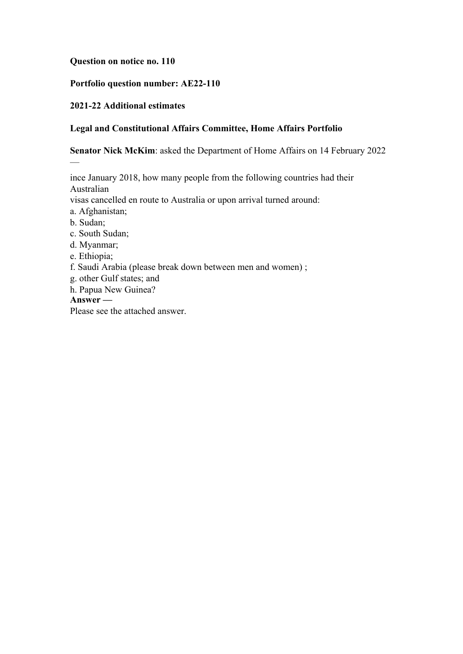### **Question on notice no. 110**

# **Portfolio question number: AE22-110**

### **2021-22 Additional estimates**

### **Legal and Constitutional Affairs Committee, Home Affairs Portfolio**

**Senator Nick McKim**: asked the Department of Home Affairs on 14 February 2022

Australian visas cancelled en route to Australia or upon arrival turned around: a. Afghanistan; b. Sudan; c. South Sudan; d. Myanmar; e. Ethiopia; f. Saudi Arabia (please break down between men and women) ; g. other Gulf states; and

ince January 2018, how many people from the following countries had their

h. Papua New Guinea?

**Answer —**

—

Please see the attached answer.